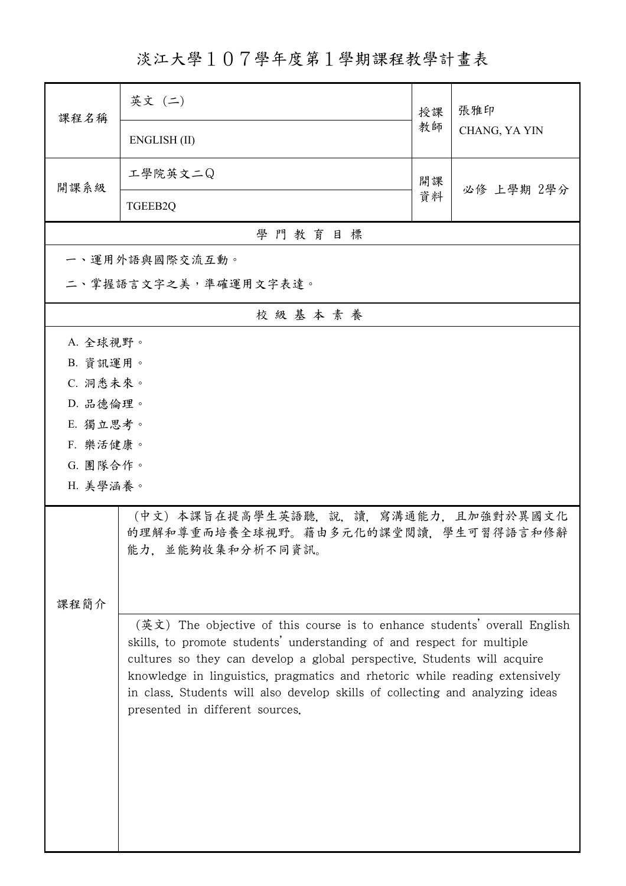淡江大學107學年度第1學期課程教學計畫表

| 課程名稱                 | 英文 (二)                                                                                                                                                                                                                                                                                                                                                                                                                             | 授課 | 張雅印<br>CHANG, YA YIN |  |
|----------------------|------------------------------------------------------------------------------------------------------------------------------------------------------------------------------------------------------------------------------------------------------------------------------------------------------------------------------------------------------------------------------------------------------------------------------------|----|----------------------|--|
|                      | ENGLISH (II)                                                                                                                                                                                                                                                                                                                                                                                                                       | 教師 |                      |  |
| 開課系級                 | 工學院英文二Q                                                                                                                                                                                                                                                                                                                                                                                                                            | 開課 | 必修 上學期 2學分           |  |
|                      | TGEEB2Q                                                                                                                                                                                                                                                                                                                                                                                                                            | 資料 |                      |  |
|                      | 學門教育目標                                                                                                                                                                                                                                                                                                                                                                                                                             |    |                      |  |
|                      | 一、運用外語與國際交流互動。                                                                                                                                                                                                                                                                                                                                                                                                                     |    |                      |  |
| 二、掌握語言文字之美,準確運用文字表達。 |                                                                                                                                                                                                                                                                                                                                                                                                                                    |    |                      |  |
|                      | 校級基本素養                                                                                                                                                                                                                                                                                                                                                                                                                             |    |                      |  |
| A. 全球視野。             |                                                                                                                                                                                                                                                                                                                                                                                                                                    |    |                      |  |
| B. 資訊運用。             |                                                                                                                                                                                                                                                                                                                                                                                                                                    |    |                      |  |
| C. 洞悉未來。             |                                                                                                                                                                                                                                                                                                                                                                                                                                    |    |                      |  |
| D. 品德倫理。             |                                                                                                                                                                                                                                                                                                                                                                                                                                    |    |                      |  |
| E. 獨立思考。             |                                                                                                                                                                                                                                                                                                                                                                                                                                    |    |                      |  |
| F. 樂活健康。             |                                                                                                                                                                                                                                                                                                                                                                                                                                    |    |                      |  |
| G. 團隊合作。<br>H. 美學涵養。 |                                                                                                                                                                                                                                                                                                                                                                                                                                    |    |                      |  |
|                      |                                                                                                                                                                                                                                                                                                                                                                                                                                    |    |                      |  |
|                      | (中文) 本課旨在提高學生英語聽,說,讀,寫溝通能力,且加強對於異國文化<br>的理解和尊重而培養全球視野。藉由多元化的課堂閲讀,學生可習得語言和修辭<br>能力,並能夠收集和分析不同資訊。                                                                                                                                                                                                                                                                                                                                    |    |                      |  |
|                      |                                                                                                                                                                                                                                                                                                                                                                                                                                    |    |                      |  |
| 課程簡介                 |                                                                                                                                                                                                                                                                                                                                                                                                                                    |    |                      |  |
|                      | (英文) The objective of this course is to enhance students' overall English<br>skills, to promote students' understanding of and respect for multiple<br>cultures so they can develop a global perspective. Students will acquire<br>knowledge in linguistics, pragmatics and rhetoric while reading extensively<br>in class. Students will also develop skills of collecting and analyzing ideas<br>presented in different sources. |    |                      |  |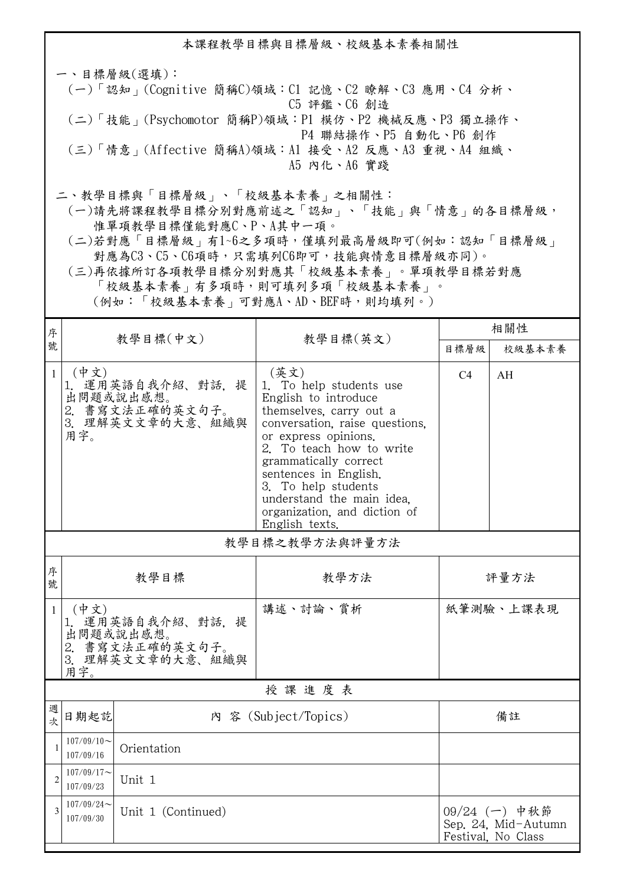本課程教學目標與目標層級、校級基本素養相關性 一、目標層級(選填): (一)「認知」(Cognitive 簡稱C)領域:C1 記憶、C2 瞭解、C3 應用、C4 分析、 C5 評鑑、C6 創造 (二)「技能」(Psychomotor 簡稱P)領域:P1 模仿、P2 機械反應、P3 獨立操作、 P4 聯結操作、P5 自動化、P6 創作 (三)「情意」(Affective 簡稱A)領域:A1 接受、A2 反應、A3 重視、A4 組織、 A5 內化、A6 實踐 二、教學目標與「目標層級」、「校級基本素養」之相關性:

 (一)請先將課程教學目標分別對應前述之「認知」、「技能」與「情意」的各目標層級, 惟單項教學目標僅能對應C、P、A其中一項。

 (二)若對應「目標層級」有1~6之多項時,僅填列最高層級即可(例如:認知「目標層級」 對應為C3、C5、C6項時,只需填列C6即可,技能與情意目標層級亦同)。

 (三)再依據所訂各項教學目標分別對應其「校級基本素養」。單項教學目標若對應 「校級基本素養」有多項時,則可填列多項「校級基本素養」。

(例如:「校級基本素養」可對應A、AD、BEF時,則均填列。)

| 序              | 教學目標(中文)                                                                             |                                                                       |                                                                                                                                                                                                                                                                                                                                  | 相關性  |                                                            |  |  |
|----------------|--------------------------------------------------------------------------------------|-----------------------------------------------------------------------|----------------------------------------------------------------------------------------------------------------------------------------------------------------------------------------------------------------------------------------------------------------------------------------------------------------------------------|------|------------------------------------------------------------|--|--|
| 號              |                                                                                      |                                                                       | 教學目標(英文)                                                                                                                                                                                                                                                                                                                         | 目標層級 | 校級基本素養                                                     |  |  |
| $\mathbf{1}$   | (中文)<br>用字。                                                                          | 1. 運用英語自我介紹、對話, 提<br>出問題或說出感想。<br>2. 書寫文法正確的英文句子。<br>3. 理解英文文章的大意、組織與 | (英文)<br>1. To help students use<br>English to introduce<br>themselves, carry out a<br>conversation, raise questions,<br>or express opinions.<br>2. To teach how to write<br>grammatically correct<br>sentences in English.<br>3. To help students<br>understand the main idea.<br>organization, and diction of<br>English texts. | C4   | AH                                                         |  |  |
|                | 教學目標之教學方法與評量方法                                                                       |                                                                       |                                                                                                                                                                                                                                                                                                                                  |      |                                                            |  |  |
| 序<br>號         | 教學目標                                                                                 |                                                                       | 教學方法                                                                                                                                                                                                                                                                                                                             | 評量方法 |                                                            |  |  |
| $\mathbf{1}$   | (中文)<br>1. 運用英語自我介紹、對話, 提<br>出問題或說出感想。<br>2. 書寫文法正確的英文句子。<br>3. 理解英文文章的大意、組織與<br>用字。 |                                                                       | 講述、討論、賞析                                                                                                                                                                                                                                                                                                                         |      | 紙筆測驗、上課表現                                                  |  |  |
| 授課進度表          |                                                                                      |                                                                       |                                                                                                                                                                                                                                                                                                                                  |      |                                                            |  |  |
| 週<br>次         | 日期起訖                                                                                 |                                                                       | 內 容 (Subject/Topics)                                                                                                                                                                                                                                                                                                             | 備註   |                                                            |  |  |
| $\mathbf{1}$   | $107/09/10 \sim$<br>Orientation<br>107/09/16                                         |                                                                       |                                                                                                                                                                                                                                                                                                                                  |      |                                                            |  |  |
| $\overline{2}$ | $107/09/17$ ~<br>Unit 1<br>107/09/23                                                 |                                                                       |                                                                                                                                                                                                                                                                                                                                  |      |                                                            |  |  |
| 3              | $107/09/24$ ~<br>Unit 1 (Continued)<br>107/09/30                                     |                                                                       |                                                                                                                                                                                                                                                                                                                                  |      | 09/24 (一) 中秋節<br>Sep. 24, Mid-Autumn<br>Festival, No Class |  |  |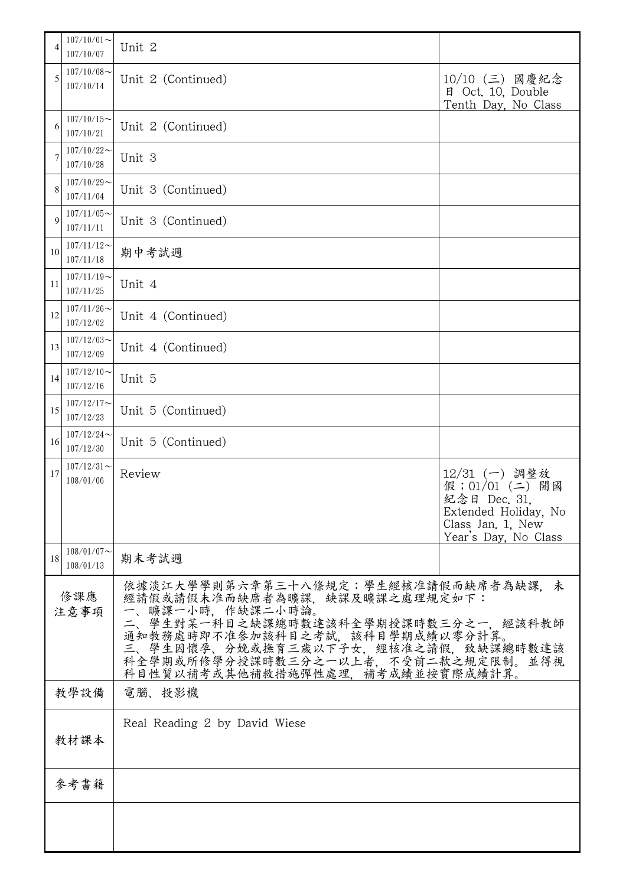| 4              | $107/10/01$ ~<br>107/10/07 | Unit 2                                                                                                                                                                                                                                                                               |                                                                                                                           |  |
|----------------|----------------------------|--------------------------------------------------------------------------------------------------------------------------------------------------------------------------------------------------------------------------------------------------------------------------------------|---------------------------------------------------------------------------------------------------------------------------|--|
| 5              | $107/10/08$ ~<br>107/10/14 | Unit 2 (Continued)                                                                                                                                                                                                                                                                   | 10/10 (三) 國慶紀念<br>日 Oct. 10, Double<br>Tenth Day, No Class                                                                |  |
| 6              | $107/10/15$ ~<br>107/10/21 | Unit 2 (Continued)                                                                                                                                                                                                                                                                   |                                                                                                                           |  |
|                | $107/10/22$ ~<br>107/10/28 | Unit 3                                                                                                                                                                                                                                                                               |                                                                                                                           |  |
| 8              | $107/10/29$ ~<br>107/11/04 | Unit 3 (Continued)                                                                                                                                                                                                                                                                   |                                                                                                                           |  |
| 9              | $107/11/05$ ~<br>107/11/11 | Unit 3 (Continued)                                                                                                                                                                                                                                                                   |                                                                                                                           |  |
| 10             | $107/11/12$ ~<br>107/11/18 | 期中考試週                                                                                                                                                                                                                                                                                |                                                                                                                           |  |
| 11             | $107/11/19$ ~<br>107/11/25 | Unit 4                                                                                                                                                                                                                                                                               |                                                                                                                           |  |
| 12             | $107/11/26$ ~<br>107/12/02 | Unit 4 (Continued)                                                                                                                                                                                                                                                                   |                                                                                                                           |  |
| 13             | $107/12/03$ ~<br>107/12/09 | Unit 4 (Continued)                                                                                                                                                                                                                                                                   |                                                                                                                           |  |
| 14             | $107/12/10$ ~<br>107/12/16 | Unit 5                                                                                                                                                                                                                                                                               |                                                                                                                           |  |
| 15             | $107/12/17$ ~<br>107/12/23 | Unit 5 (Continued)                                                                                                                                                                                                                                                                   |                                                                                                                           |  |
| 16             | $107/12/24$ ~<br>107/12/30 | Unit 5 (Continued)                                                                                                                                                                                                                                                                   |                                                                                                                           |  |
| 17             | $107/12/31$ ~<br>108/01/06 | Review                                                                                                                                                                                                                                                                               | $12/31$ (一) 調整放<br>假;01/01 (二)<br>開國<br>紀念日 Dec. 31.<br>Extended Holiday, No<br>Class Jan. 1, New<br>Year's Day, No Class |  |
| 18             | $108/01/07$ ~<br>108/01/13 | 期末考試週                                                                                                                                                                                                                                                                                |                                                                                                                           |  |
| 修課應<br>注意事項    |                            | 依據淡江大學學則第六章第三十八條規定:學生經核准請假而缺席者為缺課,未<br>經請假或請假未准而缺席者為曠課,缺課及曠課之處理規定如下:<br>一、曠課一小時,作缺課二小時論。<br>二、學生對某一科目之缺課總時數達該科全學期授課時數三分之一,經該科教師<br>通知教務處時即不准參加該科目之考試,該科目學期成績以零分計算。<br>三、學生因懷孕、分娩或撫育三歲以下子女,經核准之請假,致缺課總時數達該<br>科全學期或所修學分授課時數三分之一以上者,不受前二款之規定限制。並得視<br>科目性質以補考或其他補救措施彈性處理,補考成績並按實際成績計算。 |                                                                                                                           |  |
| 教學設備<br>電腦、投影機 |                            |                                                                                                                                                                                                                                                                                      |                                                                                                                           |  |
| 教材課本           |                            | Real Reading 2 by David Wiese                                                                                                                                                                                                                                                        |                                                                                                                           |  |
|                | 參考書籍                       |                                                                                                                                                                                                                                                                                      |                                                                                                                           |  |
|                |                            |                                                                                                                                                                                                                                                                                      |                                                                                                                           |  |